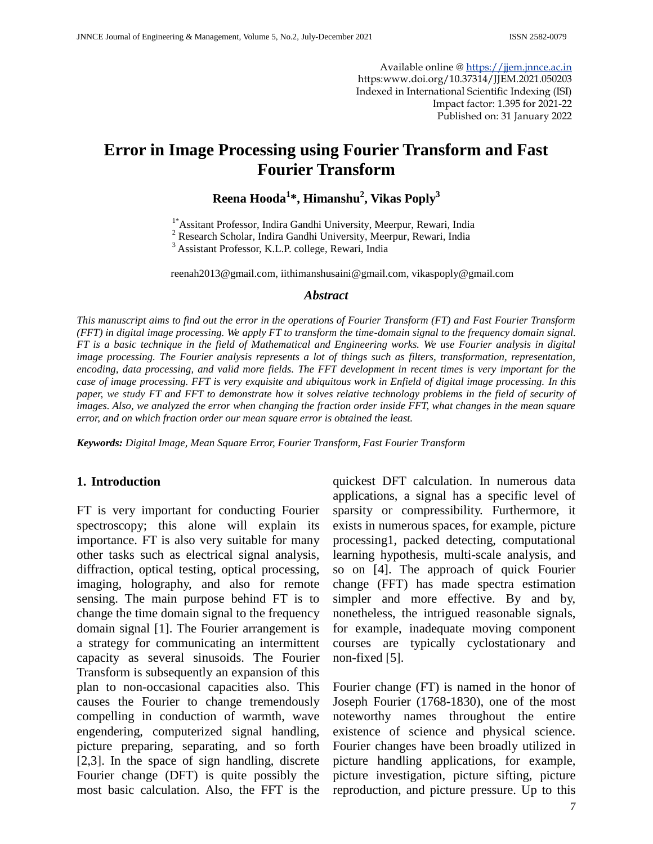Available online @ [https://jjem.jnnce.ac.in](https://jjem.jnnce.ac.in/) https:www.doi.org/10.37314/JJEM.2021.050203 Indexed in International Scientific Indexing (ISI) Impact factor: 1.395 for 2021-22 Published on: 31 January 2022

# **Error in Image Processing using Fourier Transform and Fast Fourier Transform**

## **Reena Hooda<sup>1</sup> \*, Himanshu<sup>2</sup> , Vikas Poply<sup>3</sup>**

1\*Assitant Professor, Indira Gandhi University, Meerpur, Rewari, India

<sup>2</sup> Research Scholar, Indira Gandhi University, Meerpur, Rewari, India

<sup>3</sup> Assistant Professor, K.L.P. college, Rewari, India

[reenah2013@gmail.com,](mailto:reenah2013@gmail.com) [iithimanshusaini@gmail.com,](mailto:iithimanshusaini@gmail.com) [vikaspoply@gmail.com](mailto:vikaspoply@gmail.com)

### *Abstract*

*This manuscript aims to find out the error in the operations of Fourier Transform (FT) and Fast Fourier Transform (FFT) in digital image processing. We apply FT to transform the time-domain signal to the frequency domain signal. FT is a basic technique in the field of Mathematical and Engineering works. We use Fourier analysis in digital image processing. The Fourier analysis represents a lot of things such as filters, transformation, representation,* encoding, data processing, and valid more fields. The FFT development in recent times is very important for the *case of image processing. FFT is very exquisite and ubiquitous work in Enfield of digital image processing. In this paper, we study FT and FFT to demonstrate how it solves relative technology problems in the field of security of images. Also, we analyzed the error when changing the fraction order inside FFT, what changes in the mean square error, and on which fraction order our mean square error is obtained the least.*

*Keywords: Digital Image, Mean Square Error, Fourier Transform, Fast Fourier Transform*

## **1. Introduction**

FT is very important for conducting Fourier spectroscopy; this alone will explain its importance. FT is also very suitable for many other tasks such as electrical signal analysis, diffraction, optical testing, optical processing, imaging, holography, and also for remote sensing. The main purpose behind FT is to change the time domain signal to the frequency domain signal [1]. The Fourier arrangement is a strategy for communicating an intermittent capacity as several sinusoids. The Fourier Transform is subsequently an expansion of this plan to non-occasional capacities also. This causes the Fourier to change tremendously compelling in conduction of warmth, wave engendering, computerized signal handling, picture preparing, separating, and so forth [2,3]. In the space of sign handling, discrete Fourier change (DFT) is quite possibly the most basic calculation. Also, the FFT is the

quickest DFT calculation. In numerous data applications, a signal has a specific level of sparsity or compressibility. Furthermore, it exists in numerous spaces, for example, picture processing1, packed detecting, computational learning hypothesis, multi-scale analysis, and so on [4]. The approach of quick Fourier change (FFT) has made spectra estimation simpler and more effective. By and by, nonetheless, the intrigued reasonable signals, for example, inadequate moving component courses are typically cyclostationary and non-fixed [5].

Fourier change (FT) is named in the honor of Joseph Fourier (1768-1830), one of the most noteworthy names throughout the entire existence of science and physical science. Fourier changes have been broadly utilized in picture handling applications, for example, picture investigation, picture sifting, picture reproduction, and picture pressure. Up to this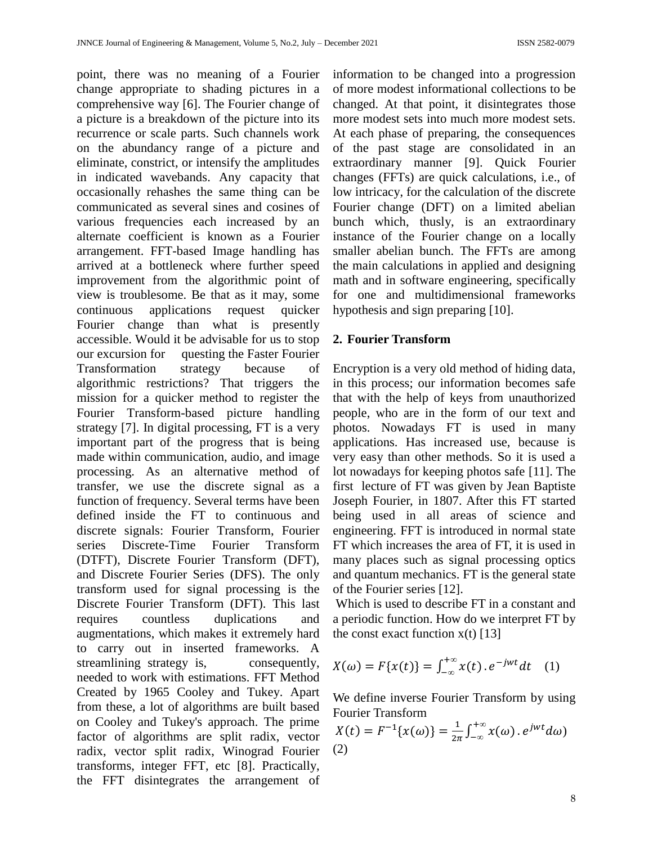point, there was no meaning of a Fourier change appropriate to shading pictures in a comprehensive way [6]. The Fourier change of a picture is a breakdown of the picture into its recurrence or scale parts. Such channels work on the abundancy range of a picture and eliminate, constrict, or intensify the amplitudes in indicated wavebands. Any capacity that occasionally rehashes the same thing can be communicated as several sines and cosines of various frequencies each increased by an alternate coefficient is known as a Fourier arrangement. FFT-based Image handling has arrived at a bottleneck where further speed improvement from the algorithmic point of view is troublesome. Be that as it may, some continuous applications request quicker Fourier change than what is presently accessible. Would it be advisable for us to stop our excursion for questing the Faster Fourier Transformation strategy because of algorithmic restrictions? That triggers the mission for a quicker method to register the Fourier Transform-based picture handling strategy [7]. In digital processing, FT is a very important part of the progress that is being made within communication, audio, and image processing. As an alternative method of transfer, we use the discrete signal as a function of frequency. Several terms have been defined inside the FT to continuous and discrete signals: Fourier Transform, Fourier series Discrete-Time Fourier Transform (DTFT), Discrete Fourier Transform (DFT), and Discrete Fourier Series (DFS). The only transform used for signal processing is the Discrete Fourier Transform (DFT). This last requires countless duplications and augmentations, which makes it extremely hard to carry out in inserted frameworks. A streamlining strategy is, consequently, needed to work with estimations. FFT Method Created by 1965 Cooley and Tukey. Apart from these, a lot of algorithms are built based on Cooley and Tukey's approach. The prime factor of algorithms are split radix, vector radix, vector split radix, Winograd Fourier transforms, integer FFT, etc [8]. Practically, the FFT disintegrates the arrangement of information to be changed into a progression of more modest informational collections to be changed. At that point, it disintegrates those more modest sets into much more modest sets. At each phase of preparing, the consequences of the past stage are consolidated in an extraordinary manner [9]. Quick Fourier changes (FFTs) are quick calculations, i.e., of low intricacy, for the calculation of the discrete Fourier change (DFT) on a limited abelian bunch which, thusly, is an extraordinary instance of the Fourier change on a locally smaller abelian bunch. The FFTs are among the main calculations in applied and designing math and in software engineering, specifically for one and multidimensional frameworks hypothesis and sign preparing [10].

## **2. Fourier Transform**

Encryption is a very old method of hiding data, in this process; our information becomes safe that with the help of keys from unauthorized people, who are in the form of our text and photos. Nowadays FT is used in many applications. Has increased use, because is very easy than other methods. So it is used a lot nowadays for keeping photos safe [11]. The first lecture of FT was given by Jean Baptiste Joseph Fourier, in 1807. After this FT started being used in all areas of science and engineering. FFT is introduced in normal state FT which increases the area of FT, it is used in many places such as signal processing optics and quantum mechanics. FT is the general state of the Fourier series [12].

Which is used to describe FT in a constant and a periodic function. How do we interpret FT by the const exact function  $x(t)$  [13]

$$
X(\omega) = F\{x(t)\} = \int_{-\infty}^{+\infty} x(t) \cdot e^{-jwt} dt \quad (1)
$$

We define inverse Fourier Transform by using Fourier Transform

$$
X(t) = F^{-1}\lbrace x(\omega)\rbrace = \frac{1}{2\pi} \int_{-\infty}^{+\infty} x(\omega) \cdot e^{jwt} d\omega
$$
  
(2)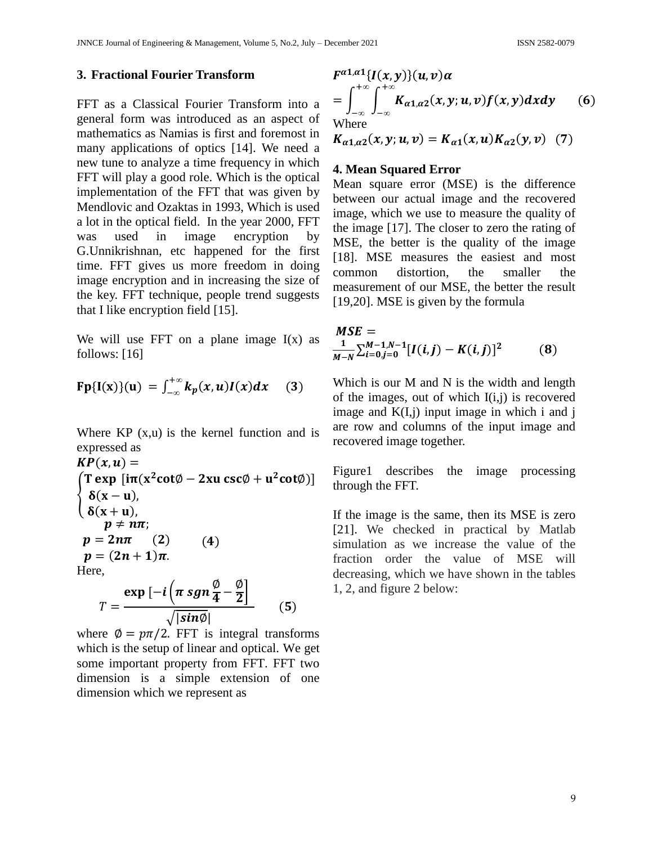## **3. Fractional Fourier Transform**

FFT as a Classical Fourier Transform into a general form was introduced as an aspect of mathematics as Namias is first and foremost in many applications of optics [14]. We need a new tune to analyze a time frequency in which FFT will play a good role. Which is the optical implementation of the FFT that was given by Mendlovic and Ozaktas in 1993, Which is used a lot in the optical field. In the year 2000, FFT was used in image encryption by G.Unnikrishnan, etc happened for the first time. FFT gives us more freedom in doing image encryption and in increasing the size of the key. FFT technique, people trend suggests that I like encryption field [15].

We will use FFT on a plane image  $I(x)$  as follows: [16]

$$
Fp{I(x)}(u) = \int_{-\infty}^{+\infty} k_p(x, u)I(x)dx
$$
 (3)

Where  $KP(x,u)$  is the kernel function and is expressed as

$$
KP(x, u) =
$$
\n
$$
\begin{cases}\nT \exp[i\pi(x^2 \cot\phi - 2xu \csc\phi + u^2 \cot\phi)] \\
\delta(x - u), \\
\delta(x + u), \\
p \neq n\pi; \\
p = 2n\pi \quad (2) \\
p = (2n + 1)\pi.\n\end{cases}
$$
\n(4)  
\nHere,  
\n
$$
\text{curl} \quad i \left(\pi \sin \phi - \phi\right)
$$

$$
T = \frac{\exp\left[-i\left(\pi\,sgn\,\frac{\varphi}{4} - \frac{\varphi}{2}\right)\right]}{\sqrt{|sin\emptyset|}}\qquad(5)
$$

where  $\phi = p\pi/2$ . FFT is integral transforms which is the setup of linear and optical. We get some important property from FFT. FFT two dimension is a simple extension of one dimension which we represent as

$$
F^{\alpha 1,\alpha 1}{I(x,y)}(u,v)\alpha
$$
  
= 
$$
\int_{-\infty}^{+\infty} \int_{-\infty}^{+\infty} K_{\alpha 1,\alpha 2}(x,y;u,v) f(x,y) dxdy
$$
 (6)  
Where  

$$
K_{\alpha 1,\alpha 2}(x,y;u,v) = K_{\alpha 1}(x,u) K_{\alpha 2}(y,v)
$$
 (7)

### **4. Mean Squared Error**

Mean square error (MSE) is the difference between our actual image and the recovered image, which we use to measure the quality of the image [17]. The closer to zero the rating of MSE, the better is the quality of the image [18]. MSE measures the easiest and most common distortion, the smaller the measurement of our MSE, the better the result [19,20]. MSE is given by the formula

$$
MSE =
$$
  

$$
\frac{1}{M-N} \sum_{i=0}^{M-1,N-1} [I(i,j) - K(i,j)]^2
$$
 (8)

Which is our M and N is the width and length of the images, out of which  $I(i,j)$  is recovered image and  $K(I,j)$  input image in which i and j are row and columns of the input image and recovered image together.

Figure1 describes the image processing through the FFT.

If the image is the same, then its MSE is zero [21]. We checked in practical by Matlab simulation as we increase the value of the fraction order the value of MSE will decreasing, which we have shown in the tables 1, 2, and figure 2 below: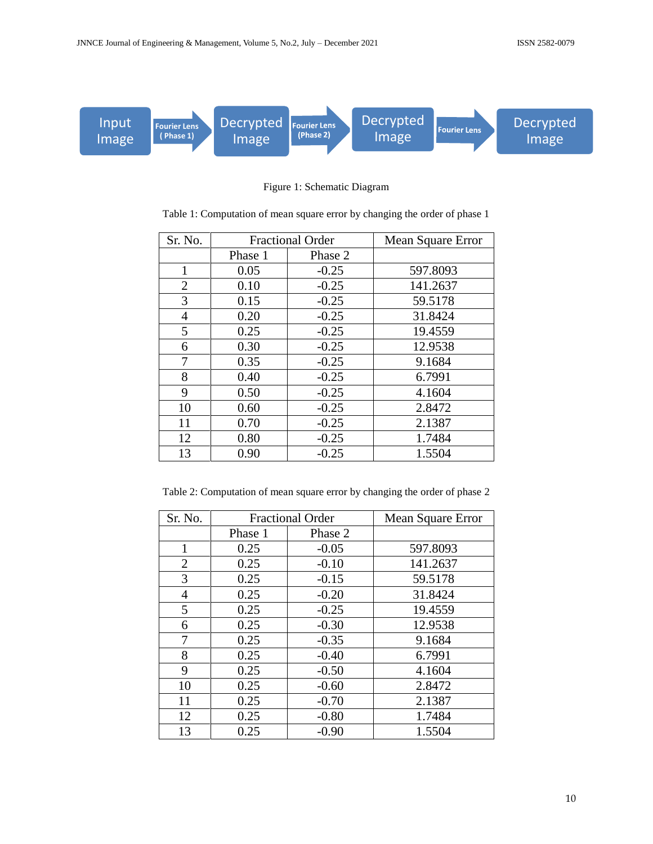

Figure 1: Schematic Diagram

| Sr. No.        | <b>Fractional Order</b> |         | <b>Mean Square Error</b> |
|----------------|-------------------------|---------|--------------------------|
|                | Phase 1                 | Phase 2 |                          |
| $\mathbf{1}$   | 0.05                    | $-0.25$ | 597.8093                 |
| $\overline{2}$ | 0.10                    | $-0.25$ | 141.2637                 |
| 3              | 0.15                    | $-0.25$ | 59.5178                  |
| 4              | 0.20                    | $-0.25$ | 31.8424                  |
| 5              | 0.25                    | $-0.25$ | 19.4559                  |
| 6              | 0.30                    | $-0.25$ | 12.9538                  |
| 7              | 0.35                    | $-0.25$ | 9.1684                   |
| 8              | 0.40                    | $-0.25$ | 6.7991                   |
| 9              | 0.50                    | $-0.25$ | 4.1604                   |
| 10             | 0.60                    | $-0.25$ | 2.8472                   |
| 11             | 0.70                    | $-0.25$ | 2.1387                   |
| 12             | 0.80                    | $-0.25$ | 1.7484                   |
| 13             | 0.90                    | $-0.25$ | 1.5504                   |

Table 1: Computation of mean square error by changing the order of phase 1

Table 2: Computation of mean square error by changing the order of phase 2

| Sr. No.        | <b>Fractional Order</b> |         | Mean Square Error |
|----------------|-------------------------|---------|-------------------|
|                | Phase 1                 | Phase 2 |                   |
| $\mathbf{1}$   | 0.25                    | $-0.05$ | 597.8093          |
| $\overline{2}$ | 0.25                    | $-0.10$ | 141.2637          |
| 3              | 0.25                    | $-0.15$ | 59.5178           |
| 4              | 0.25                    | $-0.20$ | 31.8424           |
| 5              | 0.25                    | $-0.25$ | 19.4559           |
| 6              | 0.25                    | $-0.30$ | 12.9538           |
| 7              | 0.25                    | $-0.35$ | 9.1684            |
| 8              | 0.25                    | $-0.40$ | 6.7991            |
| 9              | 0.25                    | $-0.50$ | 4.1604            |
| 10             | 0.25                    | $-0.60$ | 2.8472            |
| 11             | 0.25                    | $-0.70$ | 2.1387            |
| 12             | 0.25                    | $-0.80$ | 1.7484            |
| 13             | 0.25                    | $-0.90$ | 1.5504            |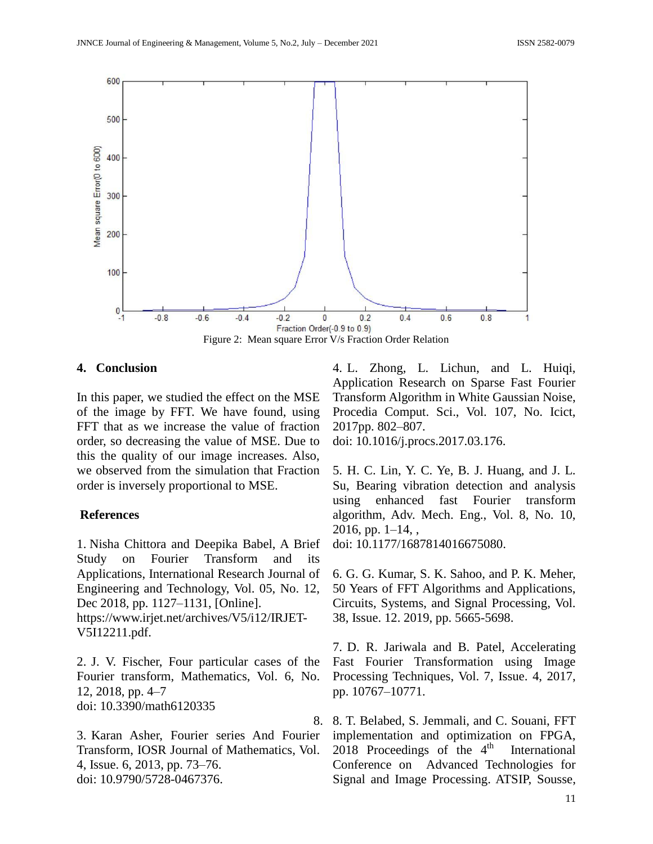

## **4. Conclusion**

In this paper, we studied the effect on the MSE of the image by FFT. We have found, using FFT that as we increase the value of fraction order, so decreasing the value of MSE. Due to this the quality of our image increases. Also, we observed from the simulation that Fraction order is inversely proportional to MSE.

## **References**

1. Nisha Chittora and Deepika Babel, A Brief Study on Fourier Transform and its Applications, International Research Journal of Engineering and Technology, Vol. 05, No. 12, Dec 2018, pp. 1127–1131, [Online]. [https://www.irjet.net/archives/V5/i12/IRJET-](https://www.irjet.net/archives/V5/i12/IRJET-V5I12211.pdf)[V5I12211.pdf.](https://www.irjet.net/archives/V5/i12/IRJET-V5I12211.pdf)

2. J. V. Fischer, Four particular cases of the Fourier transform, Mathematics, Vol. 6, No. 12, 2018, pp. 4–7 doi: 10.3390/math6120335

3. Karan Asher, Fourier series And Fourier Transform, IOSR Journal of Mathematics, Vol. 4, Issue. 6, 2013, pp. 73–76. doi: 10.9790/5728-0467376.

4. L. Zhong, L. Lichun, and L. Huiqi, Application Research on Sparse Fast Fourier Transform Algorithm in White Gaussian Noise, Procedia Comput. Sci., Vol. 107, No. Icict, 2017pp. 802–807.

doi: 10.1016/j.procs.2017.03.176.

5. H. C. Lin, Y. C. Ye, B. J. Huang, and J. L. Su, Bearing vibration detection and analysis using enhanced fast Fourier transform algorithm, Adv. Mech. Eng., Vol. 8, No. 10,  $2016$ , pp.  $1-14$ , ,

doi: 10.1177/1687814016675080.

6. G. G. Kumar, S. K. Sahoo, and P. K. Meher, 50 Years of FFT Algorithms and Applications, [Circuits, Systems, and Signal Processing,](https://link.springer.com/journal/34) Vol. 38, Issue. 12. 2019, pp. 5665-5698.

7. D. R. Jariwala and B. Patel, Accelerating Fast Fourier Transformation using Image Processing Techniques, Vol. 7, Issue. 4, 2017, pp. 10767–10771.

8. 8. T. Belabed, S. Jemmali, and C. Souani, FFT implementation and optimization on FPGA, 2018 Proceedings of the  $4<sup>th</sup>$ International Conference on Advanced Technologies for Signal and Image Processing. ATSIP, Sousse,